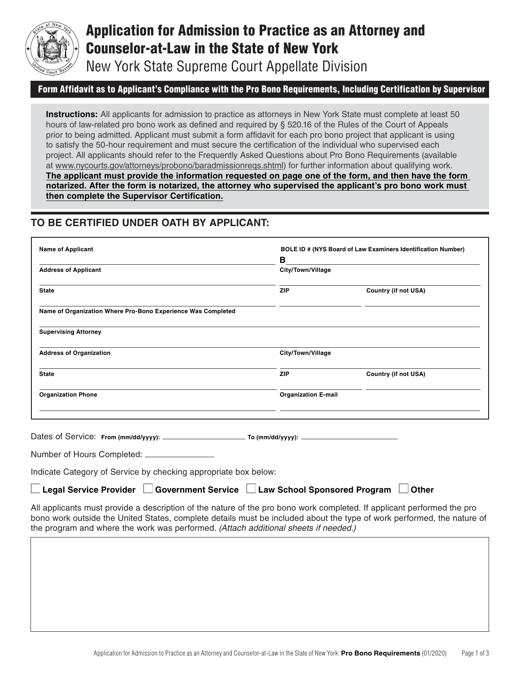

# Application for Admission to Practice as an Attorney and Counselor-at-Law in the State of New York

New York State Supreme Court Appellate Division

### Form Affidavit as to Applicant's Compliance with the Pro Bono Requirements, Including Certification by Supervisor

**Instructions:** All applicants for admission to practice as attorneys in New York State must complete at least 50 hours of law-related pro bono work as defined and required by § 520.16 of the Rules of the Court of Appeals prior to being admitted. Applicant must submit a form affidavit for each pro bono project that applicant is using to satisfy the 50-hour requirement and must secure the certification of the individual who supervised each project. All applicants should refer to the Frequently Asked Questions about Pro Bono Requirements (available at [www.nycourts.gov/attorneys/probono/baradmissionreqs.shtml\)](http://www.nycourts.gov) for further information about qualifying work. **The applicant must provide the information requested on page one of the form, and then have the form notarized. After the form is notarized, the attorney who supervised the applicant's pro bono work must then complete the Supervisor Certification.**

## **TO BE CERTIFIED UNDER OATH BY APPLICANT:**

| <b>Name of Applicant</b>                                                                                                                                                                                                                                                                                                | BOLE ID # (NYS Board of Law Examiners Identification Number) |                             |
|-------------------------------------------------------------------------------------------------------------------------------------------------------------------------------------------------------------------------------------------------------------------------------------------------------------------------|--------------------------------------------------------------|-----------------------------|
|                                                                                                                                                                                                                                                                                                                         | В                                                            |                             |
| <b>Address of Applicant</b>                                                                                                                                                                                                                                                                                             | City/Town/Village                                            |                             |
| <b>State</b>                                                                                                                                                                                                                                                                                                            | <b>ZIP</b>                                                   | <b>Country (if not USA)</b> |
| Name of Organization Where Pro-Bono Experience Was Completed                                                                                                                                                                                                                                                            |                                                              |                             |
| <b>Supervising Attorney</b>                                                                                                                                                                                                                                                                                             |                                                              |                             |
| <b>Address of Organization</b>                                                                                                                                                                                                                                                                                          | City/Town/Village                                            |                             |
| <b>State</b>                                                                                                                                                                                                                                                                                                            | ZIP                                                          | <b>Country (if not USA)</b> |
| <b>Organization Phone</b>                                                                                                                                                                                                                                                                                               | <b>Organization E-mail</b>                                   |                             |
| Number of Hours Completed: _________________<br>Indicate Category of Service by checking appropriate box below:<br>Legal Service Provider □ Government Service □ Law School Sponsored Program<br>All applicants must provide a description of the nature of the pro bono work completed. If applicant performed the pro |                                                              | <b>Other</b>                |
| bono work outside the United States, complete details must be included about the type of work performed, the nature of<br>the program and where the work was performed. (Attach additional sheets if needed.)                                                                                                           |                                                              |                             |
|                                                                                                                                                                                                                                                                                                                         |                                                              |                             |
|                                                                                                                                                                                                                                                                                                                         |                                                              |                             |
|                                                                                                                                                                                                                                                                                                                         |                                                              |                             |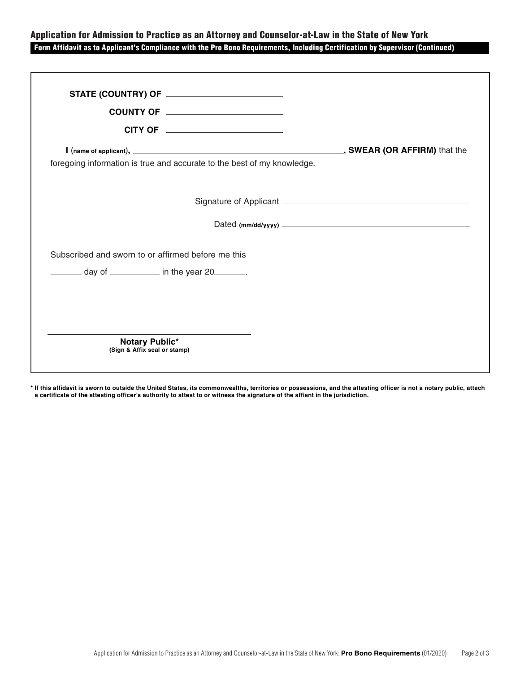### Application for Admission to Practice as an Attorney and Counselor-at-Law in the State of New York Form Affidavit as to Applicant's Compliance with the Pro Bono Requirements, Including Certification by Supervisor (Continued)

| STATE (COUNTRY) OF ___________________________                          |                                  |
|-------------------------------------------------------------------------|----------------------------------|
| COUNTY OF _______________________                                       |                                  |
| CITY OF ________________________                                        |                                  |
| foregoing information is true and accurate to the best of my knowledge. |                                  |
|                                                                         |                                  |
|                                                                         | Dated (mm/dd/yyyy) $\frac{1}{2}$ |
| Subscribed and sworn to or affirmed before me this                      |                                  |
| $\frac{1}{2}$ day of $\frac{1}{2}$ in the year 20                       |                                  |
|                                                                         |                                  |
|                                                                         |                                  |
| Notary Public*<br>(Sign & Affix seal or stamp)                          |                                  |

**\* If this affidavit is sworn to outside the United States, its commonwealths, territories or possessions, and the attesting officer is not a notary public, attach a certificate of the attesting officer's authority to attest to or witness the signature of the affiant in the jurisdiction.**